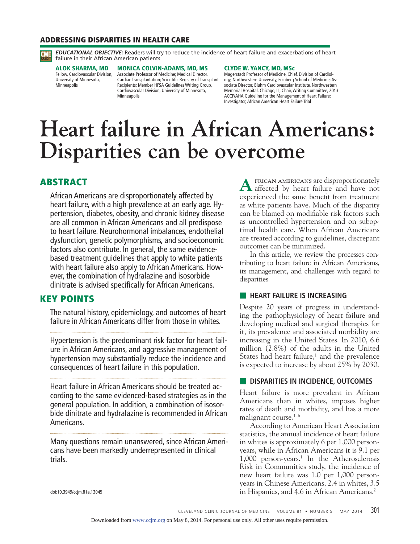### **ADDRESSING DISPARITIES IN HEALTH CARE**



*EDUCATIONAL OBJECTIVE:* Readers will try to reduce the incidence of heart failure and exacerbations of heart failure in their African American patients

**ALOK SHARMA, MD** Fellow, Cardiovascular Division, University of Minnesota, Minneapolis

**MONICA COLVIN-ADAMS, MD, MS** Associate Professor of Medicine; Medical Director, Cardiac Transplantation; Scientific Registry of Transplant Recipients; Member HFSA Guidelines Writing Group, Cardiovascular Division, University of Minnesota, Minneapolis

**CLYDE W. YANCY, MD, MSc**

Magerstadt Professor of Medicine, Chief, Division of Cardiology, Northwestern University, Feinberg School of Medicine; Associate Director, Bluhm Cardiovascular Institute, Northwestern Memorial Hospital, Chicago, IL; Chair, Writing Committee, 2013 ACCF/AHA Guideline for the Management of Heart Failure; Investigator, African American Heart Failure Trial

# **Heart failure in African Americans: Disparities can be overcome**

# **ABSTRACT**

African Americans are disproportionately affected by heart failure, with a high prevalence at an early age. Hypertension, diabetes, obesity, and chronic kidney disease are all common in African Americans and all predispose to heart failure. Neurohormonal imbalances, endothelial dysfunction, genetic polymorphisms, and socioeconomic factors also contribute. In general, the same evidencebased treatment guidelines that apply to white patients with heart failure also apply to African Americans. However, the combination of hydralazine and isosorbide dinitrate is advised specifically for African Americans.

## **KEY POINTS**

The natural history, epidemiology, and outcomes of heart failure in African Americans differ from those in whites.

Hypertension is the predominant risk factor for heart failure in African Americans, and aggressive management of hypertension may substantially reduce the incidence and consequences of heart failure in this population.

Heart failure in African Americans should be treated according to the same evidenced-based strategies as in the general population. In addition, a combination of isosorbide dinitrate and hydralazine is recommended in African Americans.

Many questions remain unanswered, since African Americans have been markedly underrepresented in clinical trials.

**A**frican americans are disproportionately affected by heart failure and have not experienced the same benefit from treatment as white patients have. Much of the disparity can be blamed on modifiable risk factors such as uncontrolled hypertension and on suboptimal health care. When African Americans are treated according to guidelines, discrepant outcomes can be minimized.

 In this article, we review the processes contributing to heart failure in African Americans, its management, and challenges with regard to disparities.

#### **EXECUTE HEART FAILURE IS INCREASING**

Despite 20 years of progress in understanding the pathophysiology of heart failure and developing medical and surgical therapies for it, its prevalence and associated morbidity are increasing in the United States. In 2010, 6.6 million (2.8%) of the adults in the United States had heart failure,<sup>1</sup> and the prevalence is expected to increase by about 25% by 2030.

## ■ **DISPARITIES IN INCIDENCE, OUTCOMES**

Heart failure is more prevalent in African Americans than in whites, imposes higher rates of death and morbidity, and has a more malignant course. $1-6$ 

 According to American Heart Association statistics, the annual incidence of heart failure in whites is approximately 6 per 1,000 personyears, while in African Americans it is 9.1 per 1,000 person-years.<sup>1</sup> In the Atherosclerosis Risk in Communities study, the incidence of new heart failure was 1.0 per 1,000 personyears in Chinese Americans, 2.4 in whites, 3.5 in Hispanics, and 4.6 in African Americans.<sup>2</sup>

doi:10.3949/ccjm.81a.13045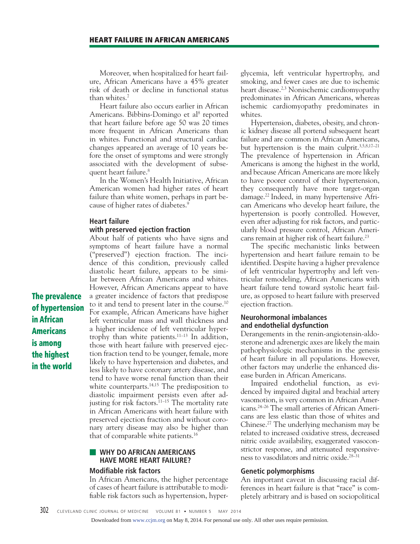Moreover, when hospitalized for heart failure, African Americans have a 45% greater risk of death or decline in functional status than whites.7

 Heart failure also occurs earlier in African Americans. Bibbins-Domingo et al<sup>8</sup> reported that heart failure before age 50 was 20 times more frequent in African Americans than in whites. Functional and structural cardiac changes appeared an average of 10 years before the onset of symptoms and were strongly associated with the development of subsequent heart failure.<sup>8</sup>

 In the Women's Health Initiative, African American women had higher rates of heart failure than white women, perhaps in part because of higher rates of diabetes.9

## **Heart failure with preserved ejection fraction**

**The prevalence of hypertension** 

**in African Americans is among the highest in the world**

About half of patients who have signs and symptoms of heart failure have a normal ("preserved") ejection fraction. The incidence of this condition, previously called diastolic heart failure, appears to be similar between African Americans and whites. However, African Americans appear to have a greater incidence of factors that predispose to it and tend to present later in the course.10 For example, African Americans have higher left ventricular mass and wall thickness and a higher incidence of left ventricular hypertrophy than white patients. $11-13$  In addition, those with heart failure with preserved ejection fraction tend to be younger, female, more likely to have hypertension and diabetes, and less likely to have coronary artery disease, and tend to have worse renal function than their white counterparts.<sup>14,15</sup> The predisposition to diastolic impairment persists even after adjusting for risk factors.<sup>11–15</sup> The mortality rate in African Americans with heart failure with preserved ejection fraction and without coronary artery disease may also be higher than that of comparable white patients.<sup>16</sup>

# ■ **WHY DO AFRICAN AMERICANS HAVE MORE HEART FAILURE?**

## **Modifiable risk factors**

In African Americans, the higher percentage of cases of heart failure is attributable to modifiable risk factors such as hypertension, hyperglycemia, left ventricular hypertrophy, and smoking, and fewer cases are due to ischemic heart disease.<sup>2,3</sup> Nonischemic cardiomyopathy predominates in African Americans, whereas ischemic cardiomyopathy predominates in whites.

 Hypertension, diabetes, obesity, and chronic kidney disease all portend subsequent heart failure and are common in African Americans, but hypertension is the main culprit.<sup>3,5,8,17-21</sup> The prevalence of hypertension in African Americans is among the highest in the world, and because African Americans are more likely to have poorer control of their hypertension, they consequently have more target-organ damage.22 Indeed, in many hypertensive African Americans who develop heart failure, the hypertension is poorly controlled. However, even after adjusting for risk factors, and particularly blood pressure control, African Americans remain at higher risk of heart failure.<sup>23</sup>

 The specific mechanistic links between hypertension and heart failure remain to be identified. Despite having a higher prevalence of left ventricular hypertrophy and left ventricular remodeling, African Americans with heart failure tend toward systolic heart failure, as opposed to heart failure with preserved ejection fraction.

## **Neurohormonal imbalances and endothelial dysfunction**

Derangements in the renin-angiotensin-aldosterone and adrenergic axes are likely the main pathophysiologic mechanisms in the genesis of heart failure in all populations. However, other factors may underlie the enhanced disease burden in African Americans.

 Impaired endothelial function, as evidenced by impaired digital and brachial artery vasomotion, is very common in African Americans.24–26 The small arteries of African Americans are less elastic than those of whites and Chinese.27 The underlying mechanism may be related to increased oxidative stress, decreased nitric oxide availability, exaggerated vasoconstrictor response, and attenuated responsiveness to vasodilators and nitric oxide.<sup>28-31</sup>

#### **Genetic polymorphisms**

An important caveat in discussing racial differences in heart failure is that "race" is completely arbitrary and is based on sociopolitical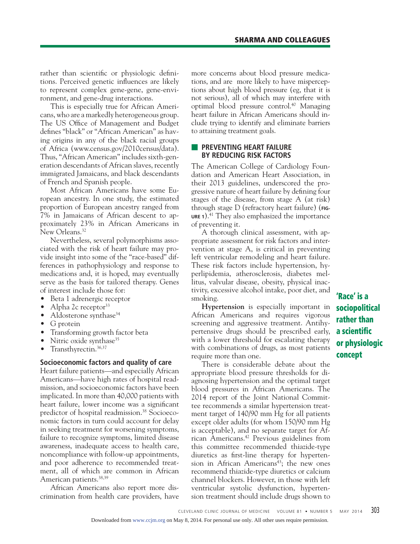rather than scientific or physiologic definitions. Perceived genetic influences are likely to represent complex gene-gene, gene-environment, and gene-drug interactions.

 This is especially true for African Americans, who are a markedly heterogeneous group. The US Office of Management and Budget defines "black" or "African American" as having origins in any of the black racial groups of Africa (www.census.gov/2010census/data). Thus, "African American" includes sixth-generation descendants of African slaves, recently immigrated Jamaicans, and black descendants of French and Spanish people.

 Most African Americans have some European ancestry. In one study, the estimated proportion of European ancestry ranged from 7% in Jamaicans of African descent to approximately 23% in African Americans in New Orleans.<sup>32</sup>

 Nevertheless, several polymorphisms associated with the risk of heart failure may provide insight into some of the "race-based" differences in pathophysiology and response to medications and, it is hoped, may eventually serve as the basis for tailored therapy. Genes of interest include those for:

- Beta 1 adrenergic receptor
- Alpha 2c receptor $33$
- Aldosterone synthase<sup>34</sup>
- G protein
- Transforming growth factor beta
- Nitric oxide synthase<sup>35</sup>
- Transthyrectin.<sup>36,37</sup>

#### **Socioeconomic factors and quality of care**

Heart failure patients—and especially African Americans—have high rates of hospital readmission, and socioeconomic factors have been implicated. In more than 40,000 patients with heart failure, lower income was a significant predictor of hospital readmission.<sup>38</sup> Socioeconomic factors in turn could account for delay in seeking treatment for worsening symptoms, failure to recognize symptoms, limited disease awareness, inadequate access to health care, noncompliance with follow-up appointments, and poor adherence to recommended treatment, all of which are common in African American patients.<sup>38,39</sup>

 African Americans also report more discrimination from health care providers, have more concerns about blood pressure medications, and are more likely to have misperceptions about high blood pressure (eg, that it is not serious), all of which may interfere with optimal blood pressure control.40 Managing heart failure in African Americans should include trying to identify and eliminate barriers to attaining treatment goals.

#### **EXPREVENTING HEART FAILURE BY REDUCING RISK FACTORS**

The American College of Cardiology Foundation and American Heart Association, in their 2013 guidelines, underscored the progressive nature of heart failure by defining four stages of the disease, from stage A (at risk) through stage D (refractory heart failure) (**FIG-**URE 1).<sup>41</sup> They also emphasized the importance of preventing it.

 A thorough clinical assessment, with appropriate assessment for risk factors and intervention at stage A, is critical in preventing left ventricular remodeling and heart failure. These risk factors include hypertension, hyperlipidemia, atherosclerosis, diabetes mellitus, valvular disease, obesity, physical inactivity, excessive alcohol intake, poor diet, and smoking.

**Hypertension** is especially important in African Americans and requires vigorous screening and aggressive treatment. Antihypertensive drugs should be prescribed early, with a lower threshold for escalating therapy with combinations of drugs, as most patients require more than one.

 There is considerable debate about the appropriate blood pressure thresholds for diagnosing hypertension and the optimal target blood pressures in African Americans. The 2014 report of the Joint National Committee recommends a similar hypertension treatment target of 140/90 mm Hg for all patients except older adults (for whom 150/90 mm Hg is acceptable), and no separate target for African Americans.42 Previous guidelines from this committee recommended thiazide-type diuretics as first-line therapy for hypertension in African Americans<sup>43</sup>; the new ones recommend thiazide-type diuretics or calcium channel blockers. However, in those with left ventricular systolic dysfunction, hypertension treatment should include drugs shown to

**'Race' is a sociopolitical rather than a scientific or physiologic concept**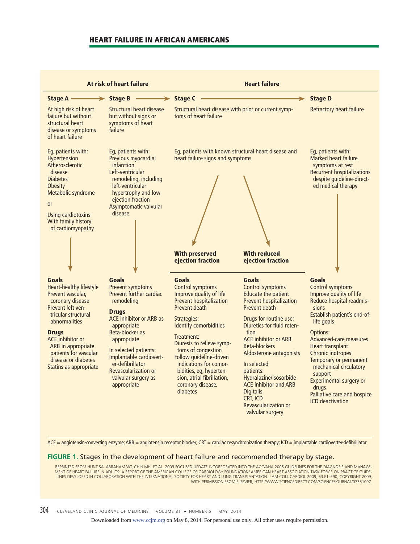## **HEART FAILURE IN AFRICAN AMERICANS**

| At risk of heart failure                                                                                                                                                                                                                                                                 |                                                                                                                                                                                                                                                                                                                           | <b>Heart failure</b>                                                                                                                                                                                                                                                                                                                                                           |                                                                                                                                                                                                                                                                                                                                                                                                                                                     |                                                                                                                                                                                                                                                                                                                                                                                                                |
|------------------------------------------------------------------------------------------------------------------------------------------------------------------------------------------------------------------------------------------------------------------------------------------|---------------------------------------------------------------------------------------------------------------------------------------------------------------------------------------------------------------------------------------------------------------------------------------------------------------------------|--------------------------------------------------------------------------------------------------------------------------------------------------------------------------------------------------------------------------------------------------------------------------------------------------------------------------------------------------------------------------------|-----------------------------------------------------------------------------------------------------------------------------------------------------------------------------------------------------------------------------------------------------------------------------------------------------------------------------------------------------------------------------------------------------------------------------------------------------|----------------------------------------------------------------------------------------------------------------------------------------------------------------------------------------------------------------------------------------------------------------------------------------------------------------------------------------------------------------------------------------------------------------|
| Stage $A -$                                                                                                                                                                                                                                                                              | <b>Stage B</b>                                                                                                                                                                                                                                                                                                            | <b>Stage C</b>                                                                                                                                                                                                                                                                                                                                                                 |                                                                                                                                                                                                                                                                                                                                                                                                                                                     | <b>Stage D</b>                                                                                                                                                                                                                                                                                                                                                                                                 |
| At high risk of heart<br>failure but without<br>structural heart<br>disease or symptoms<br>of heart failure                                                                                                                                                                              | Structural heart disease<br>but without signs or<br>symptoms of heart<br>failure                                                                                                                                                                                                                                          | Structural heart disease with prior or current symp-<br>toms of heart failure                                                                                                                                                                                                                                                                                                  |                                                                                                                                                                                                                                                                                                                                                                                                                                                     | <b>Refractory heart failure</b>                                                                                                                                                                                                                                                                                                                                                                                |
| Eg, patients with:<br><b>Hypertension</b><br>Atherosclerotic<br>disease<br><b>Diabetes</b><br><b>Obesity</b><br>Metabolic syndrome<br>or<br>Using cardiotoxins<br>With family history<br>of cardiomyopathy                                                                               | Eg, patients with:<br>Previous myocardial<br><i>infarction</i><br>Left-ventricular<br>remodeling, including<br>left-ventricular<br>hypertrophy and low<br>ejection fraction<br>Asymptomatic valvular<br>disease                                                                                                           | Eg, patients with known structural heart disease and<br>heart failure signs and symptoms<br><b>With preserved</b><br>ejection fraction                                                                                                                                                                                                                                         | <b>With reduced</b><br>ejection fraction                                                                                                                                                                                                                                                                                                                                                                                                            | Eg, patients with:<br><b>Marked heart failure</b><br>symptoms at rest<br><b>Recurrent hospitalizations</b><br>despite quideline-direct-<br>ed medical therapy                                                                                                                                                                                                                                                  |
| Goals<br><b>Heart-healthy lifestyle</b><br>Prevent vascular,<br>coronary disease<br>Prevent left ven-<br>tricular structural<br>abnormalities<br><b>Drugs</b><br><b>ACE</b> inhibitor or<br>ARB in appropriate<br>patients for vascular<br>disease or diabetes<br>Statins as appropriate | Goals<br><b>Prevent symptoms</b><br>Prevent further cardiac<br>remodeling<br><b>Drugs</b><br><b>ACE inhibitor or ARB as</b><br>appropriate<br>Beta-blocker as<br>appropriate<br>In selected patients:<br>Implantable cardiovert-<br>er-defibrillator<br><b>Revascularization or</b><br>valvular surgery as<br>appropriate | <b>Goals</b><br><b>Control symptoms</b><br>Improve quality of life<br>Prevent hospitalization<br>Prevent death<br>Strategies:<br>Identify comorbidities<br>Treatment:<br>Diuresis to relieve symp-<br>toms of congestion<br>Follow quideline-driven<br>indications for comor-<br>bidities, eq, hyperten-<br>sion, atrial fibrillation,<br>coronary disease,<br><b>diabetes</b> | <b>Goals</b><br><b>Control symptoms</b><br><b>Educate the patient</b><br><b>Prevent hospitalization</b><br>Prevent death<br>Drugs for routine use:<br>Diuretics for fluid reten-<br>tion<br><b>ACE</b> inhibitor or ARB<br>Beta-blockers<br>Aldosterone antagonists<br>In selected<br>patients:<br>Hydralazine/isosorbide<br><b>ACE inhibitor and ARB</b><br><b>Digitalis</b><br><b>CRT. ICD</b><br><b>Revascularization or</b><br>valvular surgery | Goals<br><b>Control symptoms</b><br>Improve quality of life<br>Reduce hospital readmis-<br>sions<br>Establish patient's end-of-<br>life goals<br>Options:<br>Advanced-care measures<br><b>Heart transplant</b><br><b>Chronic inotropes</b><br><b>Temporary or permanent</b><br>mechanical circulatory<br>support<br>Experimental surgery or<br>drugs<br>Palliative care and hospice<br><b>ICD</b> deactivation |

ACE = angiotensin-converting enzyme; ARB = angiotensin receptor blocker; CRT = cardiac resynchronization therapy; ICD = implantable cardioverter-defibrillator

#### **FIGURE 1.** Stages in the development of heart failure and recommended therapy by stage.

REPRINTED FROM HUNT SA, ABRAHAM WT, CHIN MH, ET AL. 2009 FOCUSED UPDATE INCORPORATED INTO THE ACC/AHA 2005 GUIDELINES FOR THE DIAGNOSIS AND MANAGE-<br>MENT OF HEART FAILURE IN ADUITS: A REPORT OF THE AMFRICAN COLLEGE OF CARDI LINES DEVELOPED IN COLLABORATION WITH THE INTERNATIONAL SOCIETY FOR HEART AND LUNG TRANSPLANTATION. J AM COLL CARDIOL 2009; 53:E1–E90; COPYRIGHT 2009, WITH PERMISSION FROM ELSEVIER; HTTP://WWW.SCIENCEDIRECT.COM/SCIENCE/JOURNAL/07351097.

Downloaded from www.ccjm.org on May 8, 2014. For personal use only. All other uses require permission.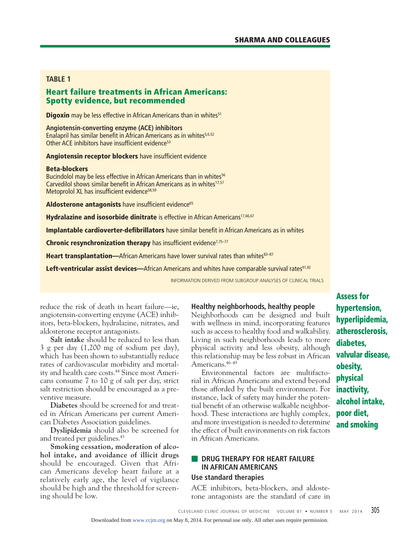## **TABLE 1**

## **Heart failure treatments in African Americans: Spotty evidence, but recommended**

**Digoxin** may be less effective in African Americans than in whites<sup>51</sup>

**Angiotensin-converting enzyme (ACE) inhibitors**  Enalapril has similar benefit in African Americans as in whites<sup>5,6,52</sup> Other ACE inhibitors have insufficient evidence<sup>53</sup>

**Angiotensin receptor blockers** have insufficient evidence

#### **Beta-blockers**

Bucindolol may be less effective in African Americans than in whites<sup>56</sup> Carvedilol shows similar benefit in African Americans as in whites<sup>17,57</sup> Metoprolol XL has insufficient evidence<sup>58,59</sup>

Aldosterone antagonists have insufficient evidence<sup>65</sup>

**Hydralazine and isosorbide dinitrate** is effective in African Americans<sup>17,66,67</sup>

**Implantable cardioverter-defibrillators** have similar benefit in African Americans as in whites

**Chronic resynchronization therapy** has insufficient evidence<sup>7,75-77</sup>

**Heart transplantation—**African Americans have lower survival rates than whites<sup>83–87</sup>

Left-ventricular assist devices—African Americans and whites have comparable survival rates<sup>91,92</sup>

INFORMATION DERIVED FROM SUBGROUP ANALYSES OF CLINICAL TRIALS

reduce the risk of death in heart failure—ie, angiotensin-converting enzyme (ACE) inhibitors, beta-blockers, hydralazine, nitrates, and aldosterone receptor antagonists.

**Salt intake** should be reduced to less than 3 g per day (1,200 mg of sodium per day), which has been shown to substantially reduce rates of cardiovascular morbidity and mortality and health care costs.44 Since most Americans consume 7 to 10 g of salt per day, strict salt restriction should be encouraged as a preventive measure.

**Diabetes** should be screened for and treated in African Americans per current American Diabetes Association guidelines.

**Dyslipidemia** should also be screened for and treated per guidelines.<sup>45</sup>

**Smoking cessation, moderation of alcohol intake, and avoidance of illicit drugs**  should be encouraged. Given that African Americans develop heart failure at a relatively early age, the level of vigilance should be high and the threshold for screening should be low.

#### **Healthy neighborhoods, healthy people**

Neighborhoods can be designed and built with wellness in mind, incorporating features such as access to healthy food and walkability. Living in such neighborhoods leads to more physical activity and less obesity, although this relationship may be less robust in African Americans.46–49

 Environmental factors are multifactorial in African Americans and extend beyond those afforded by the built environment. For instance, lack of safety may hinder the potential benefit of an otherwise walkable neighborhood. These interactions are highly complex, and more investigation is needed to determine the effect of built environments on risk factors in African Americans.

## ■ **DRUG THERAPY FOR HEART FAILURE IN AFRICAN AMERICANS**

#### **Use standard therapies**

ACE inhibitors, beta-blockers, and aldosterone antagonists are the standard of care in **Assess for hypertension, hyperlipidemia, atherosclerosis, diabetes, valvular disease, obesity, physical inactivity, alcohol intake, poor diet, and smoking**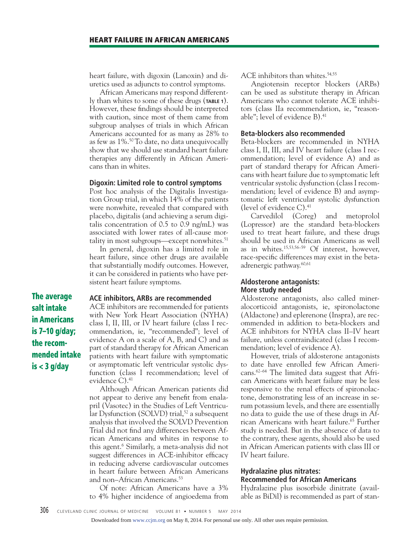heart failure, with digoxin (Lanoxin) and diuretics used as adjuncts to control symptoms.

 African Americans may respond differently than whites to some of these drugs (**TABLE 1**). However, these findings should be interpreted with caution, since most of them came from subgroup analyses of trials in which African Americans accounted for as many as 28% to as few as 1%.50 To date, no data unequivocally show that we should use standard heart failure therapies any differently in African Americans than in whites.

#### **Digoxin: Limited role to control symptoms**

Post hoc analysis of the Digitalis Investigation Group trial, in which 14% of the patients were nonwhite, revealed that compared with placebo, digitalis (and achieving a serum digitalis concentration of  $0.5$  to  $0.9$  ng/mL) was associated with lower rates of all-cause mortality in most subgroups—except nonwhites. $51$ 

 In general, digoxin has a limited role in heart failure, since other drugs are available that substantially modify outcomes. However, it can be considered in patients who have persistent heart failure symptoms.

#### **ACE inhibitors, ARBs are recommended** ACE inhibitors are recommended for patients

with New York Heart Association (NYHA) class I, II, III, or IV heart failure (class I recommendation, ie, "recommended"; level of evidence A on a scale of A, B, and C) and as part of standard therapy for African American patients with heart failure with symptomatic or asymptomatic left ventricular systolic dysfunction (class I recommendation; level of evidence  $C$ ).<sup>41</sup>

 Although African American patients did not appear to derive any benefit from enalapril (Vasotec) in the Studies of Left Ventricular Dysfunction (SOLVD) trial, $52$  a subsequent analysis that involved the SOLVD Prevention Trial did not find any differences between African Americans and whites in response to this agent.6 Similarly, a meta-analysis did not suggest differences in ACE-inhibitor efficacy in reducing adverse cardiovascular outcomes in heart failure between African Americans and non-African Americans.<sup>53</sup>

 Of note: African Americans have a 3% to 4% higher incidence of angioedema from ACE inhibitors than whites.<sup>54,55</sup>

 Angiotensin receptor blockers (ARBs) can be used as substitute therapy in African Americans who cannot tolerate ACE inhibitors (class IIa recommendation, ie, "reasonable"; level of evidence B).<sup>41</sup>

#### **Beta-blockers also recommended**

Beta-blockers are recommended in NYHA class I, II, III, and IV heart failure (class I recommendation; level of evidence A) and as part of standard therapy for African Americans with heart failure due to symptomatic left ventricular systolic dysfunction (class I recommendation; level of evidence B) and asymptomatic left ventricular systolic dysfunction (level of evidence  $C$ ).<sup>41</sup>

 Carvedilol (Coreg) and metoprolol (Lopressor) are the standard beta-blockers used to treat heart failure, and these drugs should be used in African Americans as well as in whites.15,53,56–59 Of interest, however, race-specific differences may exist in the betaadrenergic pathway.<sup>60,61</sup>

#### **Aldosterone antagonists: More study needed**

Aldosterone antagonists, also called mineralocorticoid antagonists, ie, spironolactone (Aldactone) and eplerenone (Inspra), are recommended in addition to beta-blockers and ACE inhibitors for NYHA class II–IV heart failure, unless contraindicated (class I recommendation; level of evidence A).

 However, trials of aldosterone antagonists to date have enrolled few African Americans.62–64 The limited data suggest that African Americans with heart failure may be less responsive to the renal effects of spironolactone, demonstrating less of an increase in serum potassium levels, and there are essentially no data to guide the use of these drugs in African Americans with heart failure.<sup>65</sup> Further study is needed. But in the absence of data to the contrary, these agents, should also be used in African American patients with class III or IV heart failure.

## **Hydralazine plus nitrates: Recommended for African Americans**

Hydralazine plus isosorbide dinitrate (available as BiDil) is recommended as part of stan-

**The average salt intake in Americans is 7–10 g/day; the recommended intake is < 3 g/day**

Downloaded from www.ccjm.org on May 8, 2014. For personal use only. All other uses require permission.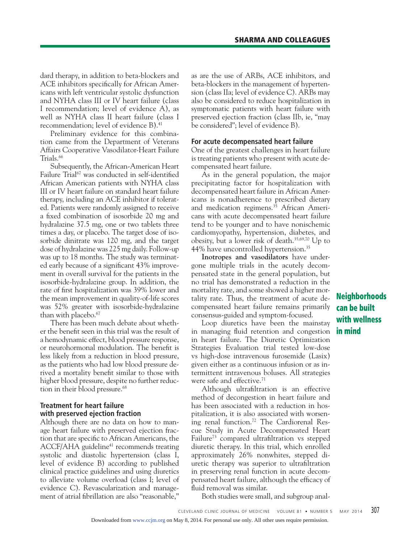dard therapy, in addition to beta-blockers and ACE inhibitors specifically for African Americans with left ventricular systolic dysfunction and NYHA class III or IV heart failure (class I recommendation; level of evidence A), as well as NYHA class II heart failure (class I recommendation; level of evidence B).<sup>41</sup>

 Preliminary evidence for this combination came from the Department of Veterans Affairs Cooperative Vasodilator-Heart Failure Trials.<sup>66</sup>

 Subsequently, the African-American Heart Failure Trial<sup>67</sup> was conducted in self-identified African American patients with NYHA class III or IV heart failure on standard heart failure therapy, including an ACE inhibitor if tolerated. Patients were randomly assigned to receive a fixed combination of isosorbide 20 mg and hydralazine 37.5 mg, one or two tablets three times a day, or placebo. The target dose of isosorbide dinitrate was 120 mg, and the target dose of hydralazine was 225 mg daily. Follow-up was up to 18 months. The study was terminated early because of a significant 43% improvement in overall survival for the patients in the isosorbide-hydralazine group. In addition, the rate of first hospitalization was 39% lower and the mean improvement in quality-of-life scores was 52% greater with isosorbide-hydralazine than with placebo.<sup>67</sup>

 There has been much debate about whether the benefit seen in this trial was the result of a hemodynamic effect, blood pressure response, or neurohormonal modulation. The benefit is less likely from a reduction in blood pressure, as the patients who had low blood pressure derived a mortality benefit similar to those with higher blood pressure, despite no further reduction in their blood pressure.<sup>68</sup>

## **Treatment for heart failure with preserved ejection fraction**

Although there are no data on how to manage heart failure with preserved ejection fraction that are specific to African Americans, the ACCF/AHA guideline<sup>41</sup> recommends treating systolic and diastolic hypertension (class I, level of evidence B) according to published clinical practice guidelines and using diuretics to alleviate volume overload (class I; level of evidence C). Revascularization and management of atrial fibrillation are also "reasonable,"

as are the use of ARBs, ACE inhibitors, and beta-blockers in the management of hypertension (class IIa; level of evidence C). ARBs may also be considered to reduce hospitalization in symptomatic patients with heart failure with preserved ejection fraction (class IIb, ie, "may be considered"; level of evidence B).

#### **For acute decompensated heart failure**

One of the greatest challenges in heart failure is treating patients who present with acute decompensated heart failure.

 As in the general population, the major precipitating factor for hospitalization with decompensated heart failure in African Americans is nonadherence to prescribed dietary and medication regimens.<sup>35</sup> African Americans with acute decompensated heart failure tend to be younger and to have nonischemic cardiomyopathy, hypertension, diabetes, and obesity, but a lower risk of death.35,69,70 Up to 44% have uncontrolled hypertension.<sup>35</sup>

**Inotropes and vasodilators** have undergone multiple trials in the acutely decompensated state in the general population, but no trial has demonstrated a reduction in the mortality rate, and some showed a higher mortality rate. Thus, the treatment of acute decompensated heart failure remains primarily consensus-guided and symptom-focused.

 Loop diuretics have been the mainstay in managing fluid retention and congestion in heart failure. The Diuretic Optimization Strategies Evaluation trial tested low-dose vs high-dose intravenous furosemide (Lasix) given either as a continuous infusion or as intermittent intravenous boluses. All strategies were safe and effective.<sup>71</sup>

 Although ultrafiltration is an effective method of decongestion in heart failure and has been associated with a reduction in hospitalization, it is also associated with worsening renal function.72 The Cardiorenal Rescue Study in Acute Decompensated Heart Failure<sup>73</sup> compared ultrafiltration vs stepped diuretic therapy. In this trial, which enrolled approximately 26% nonwhites, stepped diuretic therapy was superior to ultrafiltration in preserving renal function in acute decompensated heart failure, although the efficacy of fluid removal was similar.

Both studies were small, and subgroup anal-

# **Neighborhoods can be built with wellness in mind**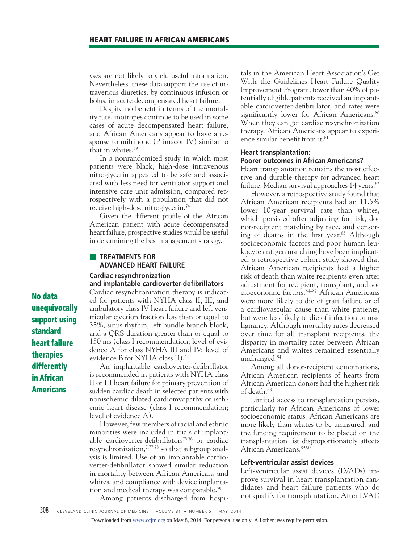yses are not likely to yield useful information. Nevertheless, these data support the use of intravenous diuretics, by continuous infusion or bolus, in acute decompensated heart failure.

 Despite no benefit in terms of the mortality rate, inotropes continue to be used in some cases of acute decompensated heart failure, and African Americans appear to have a response to milrinone (Primacor IV) similar to that in whites.<sup>69</sup>

 In a nonrandomized study in which most patients were black, high-dose intravenous nitroglycerin appeared to be safe and associated with less need for ventilator support and intensive care unit admission, compared retrospectively with a population that did not receive high-dose nitroglycerin.74

 Given the different profile of the African American patient with acute decompensated heart failure, prospective studies would be useful in determining the best management strategy.

## ■ **TREATMENTS FOR ADVANCED HEART FAILURE Cardiac resynchronization**

#### **and implantable cardioverter-defibrillators**

Cardiac resynchronization therapy is indicated for patients with NYHA class II, III, and ambulatory class IV heart failure and left ventricular ejection fraction less than or equal to 35%, sinus rhythm, left bundle branch block, and a QRS duration greater than or equal to 150 ms (class I recommendation; level of evidence A for class NYHA III and IV; level of evidence B for NYHA class II).<sup>41</sup>

 An implantable cardioverter-defibrillator is recommended in patients with NYHA class II or III heart failure for primary prevention of sudden cardiac death in selected patients with nonischemic dilated cardiomyopathy or ischemic heart disease (class I recommendation; level of evidence A).

 However, few members of racial and ethnic minorities were included in trials of implantable cardioverter-defibrillators<sup>75,76</sup> or cardiac resynchronization, $7,77,78$  so that subgroup analysis is limited. Use of an implantable cardioverter-defibrillator showed similar reduction in mortality between African Americans and whites, and compliance with device implantation and medical therapy was comparable.79

Among patients discharged from hospi-

tals in the American Heart Association's Get With the Guidelines–Heart Failure Quality Improvement Program, fewer than 40% of potentially eligible patients received an implantable cardioverter-defibrillator, and rates were significantly lower for African Americans.<sup>80</sup> When they can get cardiac resynchronization therapy, African Americans appear to experience similar benefit from it.<sup>81</sup>

#### **Heart transplantation: Poorer outcomes in African Americans?**

Heart transplantation remains the most effective and durable therapy for advanced heart failure. Median survival approaches  $14$  years.<sup>82</sup>

However, a retrospective study found that African American recipients had an 11.5% lower 10-year survival rate than whites, which persisted after adjusting for risk, donor-recipient matching by race, and censoring of deaths in the first year.<sup>83</sup> Although socioeconomic factors and poor human leukocyte antigen matching have been implicated, a retrospective cohort study showed that African American recipients had a higher risk of death than white recipients even after adjustment for recipient, transplant, and socioeconomic factors.84–87 African Americans were more likely to die of graft failure or of a cardiovascular cause than white patients, but were less likely to die of infection or malignancy. Although mortality rates decreased over time for all transplant recipients, the disparity in mortality rates between African Americans and whites remained essentially unchanged.84

 Among all donor-recipient combinations, African American recipients of hearts from African American donors had the highest risk of death.88

 Limited access to transplantation persists, particularly for African Americans of lower socioeconomic status. African Americans are more likely than whites to be uninsured, and the funding requirement to be placed on the transplantation list disproportionately affects African Americans.<sup>89,90</sup>

#### **Left-ventricular assist devices**

Left-ventricular assist devices (LVADs) improve survival in heart transplantation candidates and heart failure patients who do not qualify for transplantation. After LVAD

**No data unequivocally support using standard heart failure therapies differently in African Americans**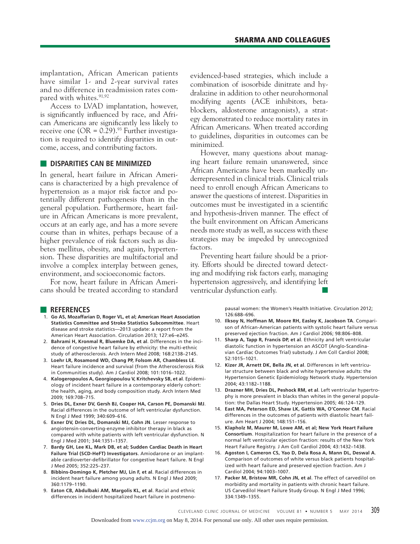implantation, African American patients have similar 1- and 2-year survival rates and no difference in readmission rates compared with whites.<sup>91,92</sup>

 Access to LVAD implantation, however, is significantly influenced by race, and African Americans are significantly less likely to receive one (OR =  $0.29$ ).<sup>93</sup> Further investigation is required to identify disparities in outcome, access, and contributing factors.

## ■ **DISPARITIES CAN BE MINIMIZED**

In general, heart failure in African Americans is characterized by a high prevalence of hypertension as a major risk factor and potentially different pathogenesis than in the general population. Furthermore, heart failure in African Americans is more prevalent, occurs at an early age, and has a more severe course than in whites, perhaps because of a higher prevalence of risk factors such as diabetes mellitus, obesity, and again, hypertension. These disparities are multifactorial and involve a complex interplay between genes, environment, and socioeconomic factors.

 For now, heart failure in African Americans should be treated according to standard

#### ■ **REFERENCES**

- 1. **Go AS, Mozaffarian D, Roger VL, et al; American Heart Association Statistics Committee and Stroke Statistics Subcommittee**. Heart disease and stroke statistics—2013 update: a report from the American Heart Association. Circulation 2013; 127:e6–e245.
- 2. **Bahrami H, Kronmal R, Bluemke DA, et al**. Differences in the incidence of congestive heart failure by ethnicity: the multi-ethnic study of atherosclerosis. Arch Intern Med 2008; 168:2138–2145.
- 3. **Loehr LR, Rosamond WD, Chang PP, Folsom AR, Chambless LE**. Heart failure incidence and survival (from the Atherosclerosis Risk in Communities study). Am J Cardiol 2008; 101:1016–1022.
- 4. **Kalogeropoulos A, Georgiopoulou V, Kritchevsky SB, et al**. Epidemiology of incident heart failure in a contemporary elderly cohort: the health, aging, and body composition study. Arch Intern Med 2009; 169:708–715.
- 5. **Dries DL, Exner DV, Gersh BJ, Cooper HA, Carson PE, Domanski MJ**. Racial differences in the outcome of left ventricular dysfunction. N Engl J Med 1999; 340:609–616.
- 6. **Exner DV, Dries DL, Domanski MJ, Cohn JN**. Lesser response to angiotensin-converting-enzyme inhibitor therapy in black as compared with white patients with left ventricular dysfunction. N Engl J Med 2001; 344:1351–1357.
- 7. **Bardy GH, Lee KL, Mark DB, et al; Sudden Cardiac Death in Heart Failure Trial (SCD-HeFT) Investigators**. Amiodarone or an implantable cardioverter-defibrillator for congestive heart failure. N Engl J Med 2005; 352:225–237.
- 8. **Bibbins-Domingo K, Pletcher MJ, Lin F, et al**. Racial differences in incident heart failure among young adults. N Engl J Med 2009; 360:1179–1190.
- 9. **Eaton CB, Abdulbaki AM, Margolis KL, et al**. Racial and ethnic differences in incident hospitalized heart failure in postmeno-

evidenced-based strategies, which include a combination of isosorbide dinitrate and hydralazine in addition to other neurohormonal modifying agents (ACE inhibitors, betablockers, aldosterone antagonists), a strategy demonstrated to reduce mortality rates in African Americans. When treated according to guidelines, disparities in outcomes can be minimized.

 However, many questions about managing heart failure remain unanswered, since African Americans have been markedly underrepresented in clinical trials. Clinical trials need to enroll enough African Americans to answer the questions of interest. Disparities in outcomes must be investigated in a scientific and hypothesis-driven manner. The effect of the built environment on African Americans needs more study as well, as success with these strategies may be impeded by unrecognized factors.

 Preventing heart failure should be a priority. Efforts should be directed toward detecting and modifying risk factors early, managing hypertension aggressively, and identifying left ventricular dysfunction early.

> pausal women: the Women's Health Initiative. Circulation 2012; 126:688–696.

- 10. **Ilksoy N, Hoffman M, Moore RH, Easley K, Jacobson TA**. Comparison of African-American patients with systolic heart failure versus preserved ejection fraction. Am J Cardiol 2006; 98:806–808.
- 11. **Sharp A, Tapp R, Francis DP, et al**. Ethnicity and left ventricular diastolic function in hypertension an ASCOT (Anglo-Scandinavian Cardiac Outcomes Trial) substudy. J Am Coll Cardiol 2008; 52:1015–1021.
- 12. **Kizer JR, Arnett DK, Bella JN, et al**. Differences in left ventricular structure between black and white hypertensive adults: the Hypertension Genetic Epidemiology Network study. Hypertension 2004; 43:1182–1188.
- 13. **Drazner MH, Dries DL, Peshock RM, et al**. Left ventricular hypertrophy is more prevalent in blacks than whites in the general population: the Dallas Heart Study. Hypertension 2005; 46:124–129.
- 14. **East MA, Peterson ED, Shaw LK, Gattis WA, O'Connor CM**. Racial differences in the outcomes of patients with diastolic heart failure. Am Heart J 2004; 148:151–156.
- 15. **Klapholz M, Maurer M, Lowe AM, et al; New York Heart Failure Consortium**. Hospitalization for heart failure in the presence of a normal left ventricular ejection fraction: results of the New York Heart Failure Registry. J Am Coll Cardiol 2004; 43:1432–1438.
- 16. **Agoston I, Cameron CS, Yao D, Dela Rosa A, Mann DL, Deswal A**. Comparison of outcomes of white versus black patients hospitalized with heart failure and preserved ejection fraction. Am J Cardiol 2004; 94:1003–1007.
- 17. **Packer M, Bristow MR, Cohn JN, et al**. The effect of carvedilol on morbidity and mortality in patients with chronic heart failure. US Carvedilol Heart Failure Study Group. N Engl J Med 1996; 334:1349–1355.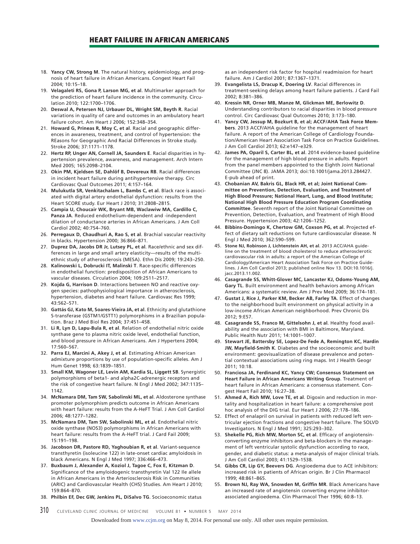- 18. **Yancy CW, Strong M**. The natural history, epidemiology, and prognosis of heart failure in African Americans. Congest Heart Fail 2004; 10:15–18.
- 19. **Velagaleti RS, Gona P, Larson MG, et al**. Multimarker approach for the prediction of heart failure incidence in the community. Circulation 2010; 122:1700–1706.
- 20. **Deswal A, Petersen NJ, Urbauer DL, Wright SM, Beyth R**. Racial variations in quality of care and outcomes in an ambulatory heart failure cohort. Am Heart J 2006; 152:348–354.
- 21. **Howard G, Prineas R, Moy C, et al**. Racial and geographic differences in awareness, treatment, and control of hypertension: the REasons for Geographic And Racial Differences in Stroke study. Stroke 2006; 37:1171–1178.
- 22. **Hertz RP, Unger AN, Cornell JA, Saunders E**. Racial disparities in hypertension prevalence, awareness, and management. Arch Intern Med 2005; 165:2098–2104.
- 23. **Okin PM, Kjeldsen SE, Dahlöf B, Devereux RB**. Racial differences in incident heart failure during antihypertensive therapy. Circ Cardiovasc Qual Outcomes 2011; 4:157–164.
- 24. **Mulukutla SR, Venkitachalam L, Bambs C, et al**. Black race is associated with digital artery endothelial dysfunction: results from the Heart SCORE study. Eur Heart J 2010; 31:2808–2815.
- 25. **Campia U, Choucair WK, Bryant MB, Waclawiw MA, Cardillo C, Panza JA**. Reduced endothelium-dependent and -independent dilation of conductance arteries in African Americans. J Am Coll Cardiol 2002; 40:754–760.
- 26. **Perregaux D, Chaudhuri A, Rao S, et al**. Brachial vascular reactivity in blacks. Hypertension 2000; 36:866–871.
- 27. **Duprez DA, Jacobs DR Jr, Lutsey PL, et al**. Race/ethnic and sex differences in large and small artery elasticity—results of the multiethnic study of atherosclerosis (MESA). Ethn Dis 2009; 19:243–250.
- 28. **Kalinowski L, Dobrucki IT, Malinski T**. Race-specific differences in endothelial function: predisposition of African Americans to vascular diseases. Circulation 2004; 109:2511–2517.
- 29. **Kojda G, Harrison D**. Interactions between NO and reactive oxygen species: pathophysiological importance in atherosclerosis, hypertension, diabetes and heart failure. Cardiovasc Res 1999; 43:562–571.
- 30. **Gattás GJ, Kato M, Soares-Vieira JA, et al**. Ethnicity and glutathione S-transferase (GSTM1/GSTT1) polymorphisms in a Brazilian population. Braz J Med Biol Res 2004; 37:451–458.
- 31. **Li R, Lyn D, Lapu-Bula R, et al**. Relation of endothelial nitric oxide synthase gene to plasma nitric oxide level, endothelial function, and blood pressure in African Americans. Am J Hypertens 2004; 17:560–567.
- 32. **Parra EJ, Marcini A, Akey J, et al**. Estimating African American admixture proportions by use of population-specific alleles. Am J Hum Genet 1998; 63:1839–1851.
- 33. **Small KM, Wagoner LE, Levin AM, Kardia SL, Liggett SB**. Synergistic polymorphisms of beta1- and alpha2C-adrenergic receptors and the risk of congestive heart failure. N Engl J Med 2002; 347:1135– 1142.
- 34. **McNamara DM, Tam SW, Sabolinski ML, et al**. Aldosterone synthase promoter polymorphism predicts outcome in African Americans with heart failure: results from the A-HeFT Trial. J Am Coll Cardiol 2006; 48:1277–1282.
- 35. **McNamara DM, Tam SW, Sabolinski ML, et al**. Endothelial nitric oxide synthase (NOS3) polymorphisms in African Americans with heart failure: results from the A-HeFT trial. J Card Fail 2009; 15:191–198.
- 36. **Jacobson DR, Pastore RD, Yaghoubian R, et al**. Variant-sequence transthyretin (isoleucine 122) in late-onset cardiac amyloidosis in black Americans. N Engl J Med 1997; 336:466–473.
- 37. **Buxbaum J, Alexander A, Koziol J, Tagoe C, Fox E, Kitzman D**. Significance of the amyloidogenic transthyretin Val 122 Ile allele in African Americans in the Arteriosclerosis Risk in Communities (ARIC) and Cardiovascular Health (CHS) Studies. Am Heart J 2010; 159:864–870.
- 38. **Philbin EF, Dec GW, Jenkins PL, DiSalvo TG**. Socioeconomic status

as an independent risk factor for hospital readmission for heart failure. Am J Cardiol 2001; 87:1367–1371.

- 39. **Evangelista LS, Dracup K, Doering LV**. Racial differences in treatment-seeking delays among heart failure patients. J Card Fail 2002; 8:381–386.
- 40. **Kressin NR, Orner MB, Manze M, Glickman ME, Berlowitz D**. Understanding contributors to racial disparities in blood pressure control. Circ Cardiovasc Qual Outcomes 2010; 3:173–180.
- 41. **Yancy CW, Jessup M, Bozkurt B, et al; ACCF/AHA Task Force Members**. 2013 ACCF/AHA guideline for the management of heart failure. A report of the American College of Cardiology Foundation/American Heart Association Task Force on Practice Guidelines. J Am Coll Cardiol 2013; 62:e147–e329.
- 42. **James PA, Oparil S, Carter BL, et al**. 2014 evidence-based guideline for the management of high blood pressure in adults. Report from the panel members appointed to the Eighth Joint National Committee (JNC 8). JAMA 2013; doi:10.1001/jama.2013.284427. E-pub ahead of print.
- 43. **Chobanian AV, Bakris GL, Black HR, et al; Joint National Committee on Prevention, Detection, Evaluation, and Treatment of High Blood Pressure; National Heart, Lung, and Blood Institute; National High Blood Pressure Education Program Coordinating Committee**. Seventh report of the Joint National Committee on Prevention, Detection, Evaluation, and Treatment of High Blood Pressure. Hypertension 2003; 42:1206–1252.
- 44. **Bibbins-Domingo K, Chertow GM, Coxson PG, et al**. Projected effect of dietary salt reductions on future cardiovascular disease. N Engl J Med 2010; 362:590–599.
- 45. **Stone NJ, Robinson J, Lichtenstein AH, et al**. 2013 ACC/AHA guideline on the treatment of blood cholesterol to reduce atherosclerotic cardiovascular risk in adults: a report of the American College of Cardiology/American Heart Association Task Force on Practice Guidelines. J Am Coll Cardiol 2013; published online Nov 13. DOI:10.1016/j. jacc.2013.11.002.
- 46. **Casagrande SS, Whitt-Glover MC, Lancaster KJ, Odoms-Young AM, Gary TL**. Built environment and health behaviors among African Americans: a systematic review. Am J Prev Med 2009; 36:174–181.
- 47. **Gustat J, Rice J, Parker KM, Becker AB, Farley TA**. Effect of changes to the neighborhood built environment on physical activity in a low-income African American neighborhood. Prev Chronic Dis 2012; 9:E57.
- 48. **Casagrande SS, Franco M, Gittelsohn J, et al**. Healthy food availability and the association with BMI in Baltimore, Maryland. Public Health Nutr 2011; 14:1001–1007.
- 49. **Stewart JE, Battersby SE, Lopez-De Fede A, Remington KC, Hardin JW, Mayfield-Smith K**. Diabetes and the socioeconomic and built environment: geovisualization of disease prevalence and potential contextual associations using ring maps. Int J Health Geogr 2011; 10:18.
- 50. **Franciosa JA, Ferdinand KC, Yancy CW; Consensus Statement on Heart Failure in African Americans Writing Group**. Treatment of heart failure in African Americans: a consensus statement. Congest Heart Fail 2010; 16:27–38.
- 51. **Ahmed A, Rich MW, Love TE, et al**. Digoxin and reduction in mortality and hospitalization in heart failure: a comprehensive post hoc analysis of the DIG trial. Eur Heart J 2006; 27:178–186.
- 52. Effect of enalapril on survival in patients with reduced left ventricular ejection fractions and congestive heart failure. The SOLVD Investigators. N Engl J Med 1991; 325:293–302.
- 53. **Shekelle PG, Rich MW, Morton SC, et al**. Efficacy of angiotensinconverting enzyme inhibitors and beta-blockers in the management of left ventricular systolic dysfunction according to race, gender, and diabetic status: a meta-analysis of major clinical trials. J Am Coll Cardiol 2003; 41:1529–1538.
- 54. **Gibbs CR, Lip GY, Beevers DG**. Angioedema due to ACE inhibitors: increased risk in patients of African origin. Br J Clin Pharmacol 1999; 48:861–865.
- 55. **Brown NJ, Ray WA, Snowden M, Griffin MR**. Black Americans have an increased rate of angiotensin converting enzyme inhibitorassociated angioedema. Clin Pharmacol Ther 1996; 60:8–13.
- 310 CLEVELAND CLINIC JOURNAL OF MEDICINE VOLUME 81 NUMBER 5 MAY 2014